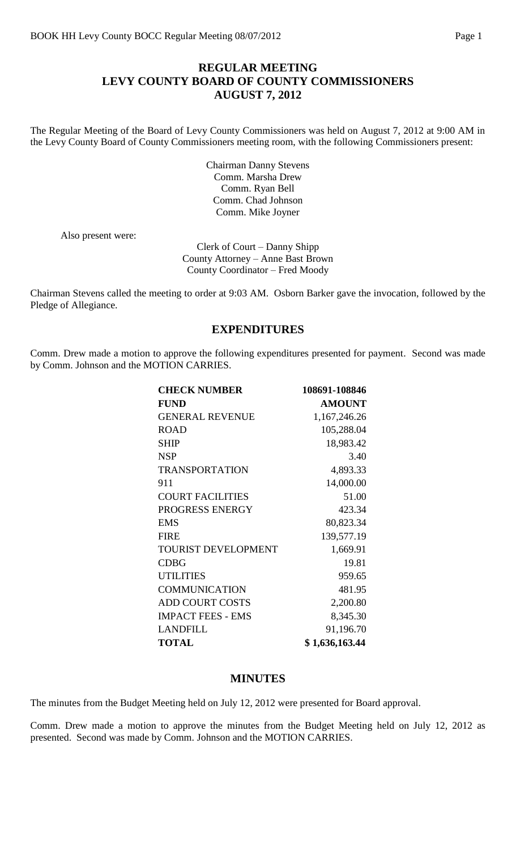## **REGULAR MEETING LEVY COUNTY BOARD OF COUNTY COMMISSIONERS AUGUST 7, 2012**

The Regular Meeting of the Board of Levy County Commissioners was held on August 7, 2012 at 9:00 AM in the Levy County Board of County Commissioners meeting room, with the following Commissioners present:

> Chairman Danny Stevens Comm. Marsha Drew Comm. Ryan Bell Comm. Chad Johnson Comm. Mike Joyner

Also present were:

Clerk of Court – Danny Shipp County Attorney – Anne Bast Brown County Coordinator – Fred Moody

Chairman Stevens called the meeting to order at 9:03 AM. Osborn Barker gave the invocation, followed by the Pledge of Allegiance.

#### **EXPENDITURES**

Comm. Drew made a motion to approve the following expenditures presented for payment. Second was made by Comm. Johnson and the MOTION CARRIES.

| <b>CHECK NUMBER</b>        | 108691-108846  |
|----------------------------|----------------|
| <b>FUND</b>                | <b>AMOUNT</b>  |
| <b>GENERAL REVENUE</b>     | 1,167,246.26   |
| <b>ROAD</b>                | 105,288.04     |
| <b>SHIP</b>                | 18,983.42      |
| <b>NSP</b>                 | 3.40           |
| <b>TRANSPORTATION</b>      | 4,893.33       |
| 911                        | 14,000.00      |
| <b>COURT FACILITIES</b>    | 51.00          |
| PROGRESS ENERGY            | 423.34         |
| <b>EMS</b>                 | 80,823.34      |
| <b>FIRE</b>                | 139,577.19     |
| <b>TOURIST DEVELOPMENT</b> | 1,669.91       |
| <b>CDBG</b>                | 19.81          |
| <b>UTILITIES</b>           | 959.65         |
| <b>COMMUNICATION</b>       | 481.95         |
| <b>ADD COURT COSTS</b>     | 2,200.80       |
| <b>IMPACT FEES - EMS</b>   | 8,345.30       |
| <b>LANDFILL</b>            | 91,196.70      |
| <b>TOTAL</b>               | \$1,636,163.44 |

### **MINUTES**

The minutes from the Budget Meeting held on July 12, 2012 were presented for Board approval.

Comm. Drew made a motion to approve the minutes from the Budget Meeting held on July 12, 2012 as presented. Second was made by Comm. Johnson and the MOTION CARRIES.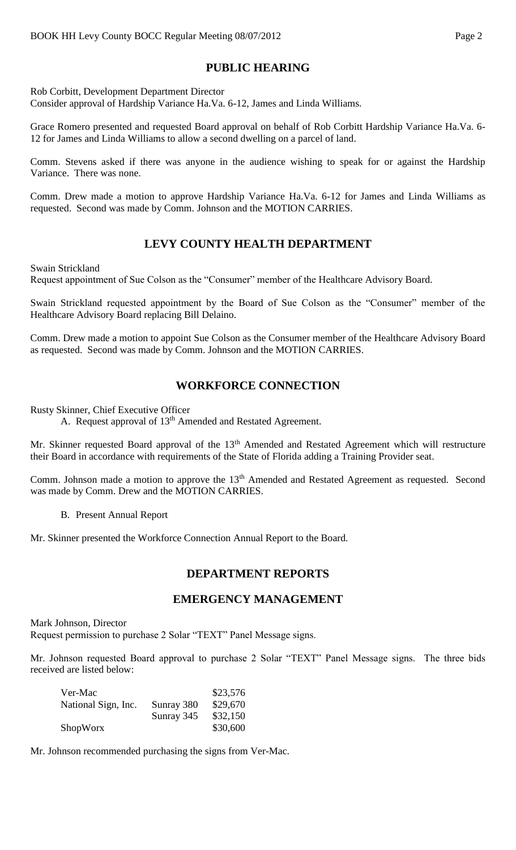# **PUBLIC HEARING**

Rob Corbitt, Development Department Director Consider approval of Hardship Variance Ha.Va. 6-12, James and Linda Williams.

Grace Romero presented and requested Board approval on behalf of Rob Corbitt Hardship Variance Ha.Va. 6- 12 for James and Linda Williams to allow a second dwelling on a parcel of land.

Comm. Stevens asked if there was anyone in the audience wishing to speak for or against the Hardship Variance. There was none.

Comm. Drew made a motion to approve Hardship Variance Ha.Va. 6-12 for James and Linda Williams as requested. Second was made by Comm. Johnson and the MOTION CARRIES.

# **LEVY COUNTY HEALTH DEPARTMENT**

Swain Strickland

Request appointment of Sue Colson as the "Consumer" member of the Healthcare Advisory Board.

Swain Strickland requested appointment by the Board of Sue Colson as the "Consumer" member of the Healthcare Advisory Board replacing Bill Delaino.

Comm. Drew made a motion to appoint Sue Colson as the Consumer member of the Healthcare Advisory Board as requested. Second was made by Comm. Johnson and the MOTION CARRIES.

## **WORKFORCE CONNECTION**

Rusty Skinner, Chief Executive Officer

A. Request approval of  $13<sup>th</sup>$  Amended and Restated Agreement.

Mr. Skinner requested Board approval of the 13<sup>th</sup> Amended and Restated Agreement which will restructure their Board in accordance with requirements of the State of Florida adding a Training Provider seat.

Comm. Johnson made a motion to approve the 13<sup>th</sup> Amended and Restated Agreement as requested. Second was made by Comm. Drew and the MOTION CARRIES.

B. Present Annual Report

Mr. Skinner presented the Workforce Connection Annual Report to the Board.

### **DEPARTMENT REPORTS**

#### **EMERGENCY MANAGEMENT**

Mark Johnson, Director Request permission to purchase 2 Solar "TEXT" Panel Message signs.

Mr. Johnson requested Board approval to purchase 2 Solar "TEXT" Panel Message signs. The three bids received are listed below:

| Ver-Mac             |            | \$23,576 |
|---------------------|------------|----------|
| National Sign, Inc. | Sunray 380 | \$29,670 |
|                     | Sunray 345 | \$32,150 |
| ShopWorx            |            | \$30,600 |

Mr. Johnson recommended purchasing the signs from Ver-Mac.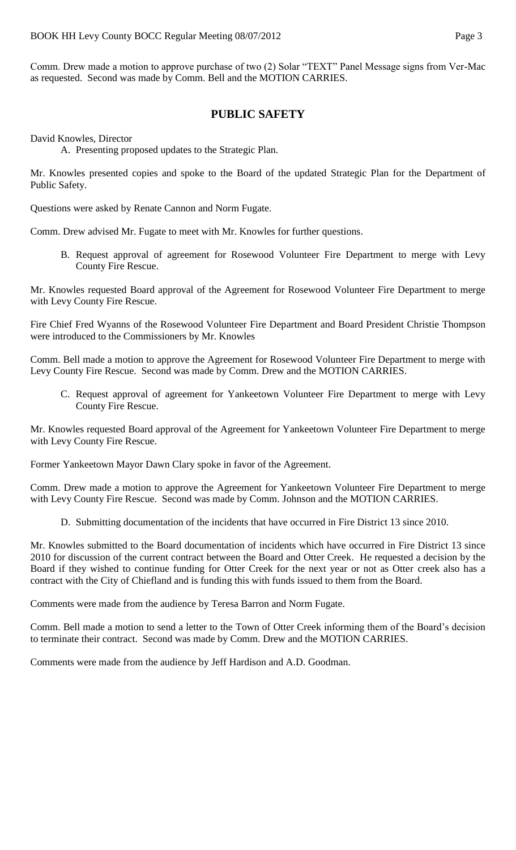Comm. Drew made a motion to approve purchase of two (2) Solar "TEXT" Panel Message signs from Ver-Mac as requested. Second was made by Comm. Bell and the MOTION CARRIES.

## **PUBLIC SAFETY**

David Knowles, Director

A. Presenting proposed updates to the Strategic Plan.

Mr. Knowles presented copies and spoke to the Board of the updated Strategic Plan for the Department of Public Safety.

Questions were asked by Renate Cannon and Norm Fugate.

Comm. Drew advised Mr. Fugate to meet with Mr. Knowles for further questions.

B. Request approval of agreement for Rosewood Volunteer Fire Department to merge with Levy County Fire Rescue.

Mr. Knowles requested Board approval of the Agreement for Rosewood Volunteer Fire Department to merge with Levy County Fire Rescue.

Fire Chief Fred Wyanns of the Rosewood Volunteer Fire Department and Board President Christie Thompson were introduced to the Commissioners by Mr. Knowles

Comm. Bell made a motion to approve the Agreement for Rosewood Volunteer Fire Department to merge with Levy County Fire Rescue. Second was made by Comm. Drew and the MOTION CARRIES.

C. Request approval of agreement for Yankeetown Volunteer Fire Department to merge with Levy County Fire Rescue.

Mr. Knowles requested Board approval of the Agreement for Yankeetown Volunteer Fire Department to merge with Levy County Fire Rescue.

Former Yankeetown Mayor Dawn Clary spoke in favor of the Agreement.

Comm. Drew made a motion to approve the Agreement for Yankeetown Volunteer Fire Department to merge with Levy County Fire Rescue. Second was made by Comm. Johnson and the MOTION CARRIES.

D. Submitting documentation of the incidents that have occurred in Fire District 13 since 2010.

Mr. Knowles submitted to the Board documentation of incidents which have occurred in Fire District 13 since 2010 for discussion of the current contract between the Board and Otter Creek. He requested a decision by the Board if they wished to continue funding for Otter Creek for the next year or not as Otter creek also has a contract with the City of Chiefland and is funding this with funds issued to them from the Board.

Comments were made from the audience by Teresa Barron and Norm Fugate.

Comm. Bell made a motion to send a letter to the Town of Otter Creek informing them of the Board's decision to terminate their contract. Second was made by Comm. Drew and the MOTION CARRIES.

Comments were made from the audience by Jeff Hardison and A.D. Goodman.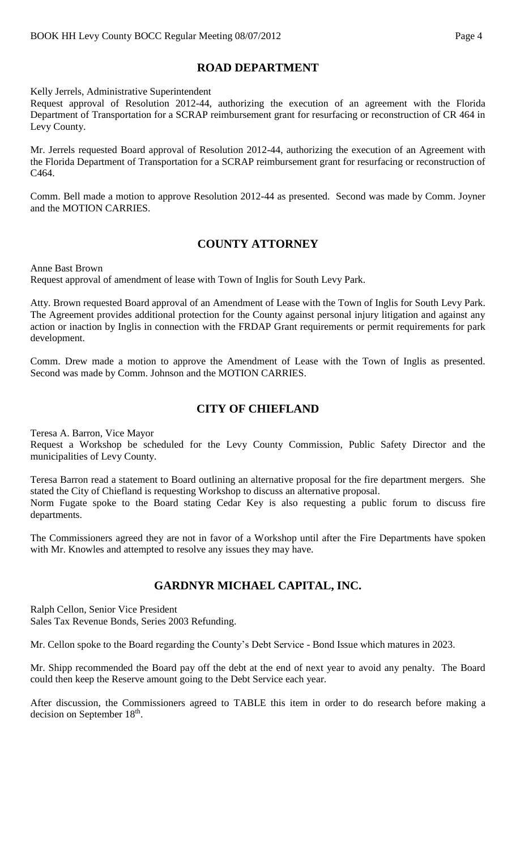# **ROAD DEPARTMENT**

Kelly Jerrels, Administrative Superintendent

Request approval of Resolution 2012-44, authorizing the execution of an agreement with the Florida Department of Transportation for a SCRAP reimbursement grant for resurfacing or reconstruction of CR 464 in Levy County.

Mr. Jerrels requested Board approval of Resolution 2012-44, authorizing the execution of an Agreement with the Florida Department of Transportation for a SCRAP reimbursement grant for resurfacing or reconstruction of C464.

Comm. Bell made a motion to approve Resolution 2012-44 as presented. Second was made by Comm. Joyner and the MOTION CARRIES.

# **COUNTY ATTORNEY**

Anne Bast Brown Request approval of amendment of lease with Town of Inglis for South Levy Park.

Atty. Brown requested Board approval of an Amendment of Lease with the Town of Inglis for South Levy Park. The Agreement provides additional protection for the County against personal injury litigation and against any action or inaction by Inglis in connection with the FRDAP Grant requirements or permit requirements for park development.

Comm. Drew made a motion to approve the Amendment of Lease with the Town of Inglis as presented. Second was made by Comm. Johnson and the MOTION CARRIES.

## **CITY OF CHIEFLAND**

Teresa A. Barron, Vice Mayor

Request a Workshop be scheduled for the Levy County Commission, Public Safety Director and the municipalities of Levy County.

Teresa Barron read a statement to Board outlining an alternative proposal for the fire department mergers. She stated the City of Chiefland is requesting Workshop to discuss an alternative proposal.

Norm Fugate spoke to the Board stating Cedar Key is also requesting a public forum to discuss fire departments.

The Commissioners agreed they are not in favor of a Workshop until after the Fire Departments have spoken with Mr. Knowles and attempted to resolve any issues they may have.

# **GARDNYR MICHAEL CAPITAL, INC.**

Ralph Cellon, Senior Vice President

Sales Tax Revenue Bonds, Series 2003 Refunding.

Mr. Cellon spoke to the Board regarding the County's Debt Service - Bond Issue which matures in 2023.

Mr. Shipp recommended the Board pay off the debt at the end of next year to avoid any penalty. The Board could then keep the Reserve amount going to the Debt Service each year.

After discussion, the Commissioners agreed to TABLE this item in order to do research before making a decision on September  $18<sup>th</sup>$ .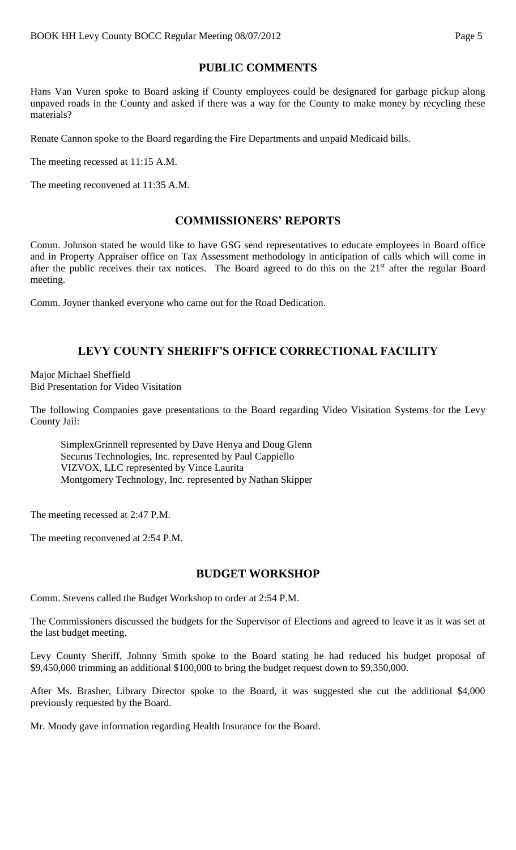# **PUBLIC COMMENTS**

Hans Van Vuren spoke to Board asking if County employees could be designated for garbage pickup along unpaved roads in the County and asked if there was a way for the County to make money by recycling these materials?

Renate Cannon spoke to the Board regarding the Fire Departments and unpaid Medicaid bills.

The meeting recessed at 11:15 A.M.

The meeting reconvened at 11:35 A.M.

# **COMMISSIONERS' REPORTS**

Comm. Johnson stated he would like to have GSG send representatives to educate employees in Board office and in Property Appraiser office on Tax Assessment methodology in anticipation of calls which will come in after the public receives their tax notices. The Board agreed to do this on the 21<sup>st</sup> after the regular Board meeting.

Comm. Joyner thanked everyone who came out for the Road Dedication.

# **LEVY COUNTY SHERIFF'S OFFICE CORRECTIONAL FACILITY**

Major Michael Sheffield Bid Presentation for Video Visitation

The following Companies gave presentations to the Board regarding Video Visitation Systems for the Levy County Jail:

SimplexGrinnell represented by Dave Henya and Doug Glenn Securus Technologies, Inc. represented by Paul Cappiello VIZVOX, LLC represented by Vince Laurita Montgomery Technology, Inc. represented by Nathan Skipper

The meeting recessed at 2:47 P.M.

The meeting reconvened at 2:54 P.M.

## **BUDGET WORKSHOP**

Comm. Stevens called the Budget Workshop to order at 2:54 P.M.

The Commissioners discussed the budgets for the Supervisor of Elections and agreed to leave it as it was set at the last budget meeting.

Levy County Sheriff, Johnny Smith spoke to the Board stating he had reduced his budget proposal of \$9,450,000 trimming an additional \$100,000 to bring the budget request down to \$9,350,000.

After Ms. Brasher, Library Director spoke to the Board, it was suggested she cut the additional \$4,000 previously requested by the Board.

Mr. Moody gave information regarding Health Insurance for the Board.